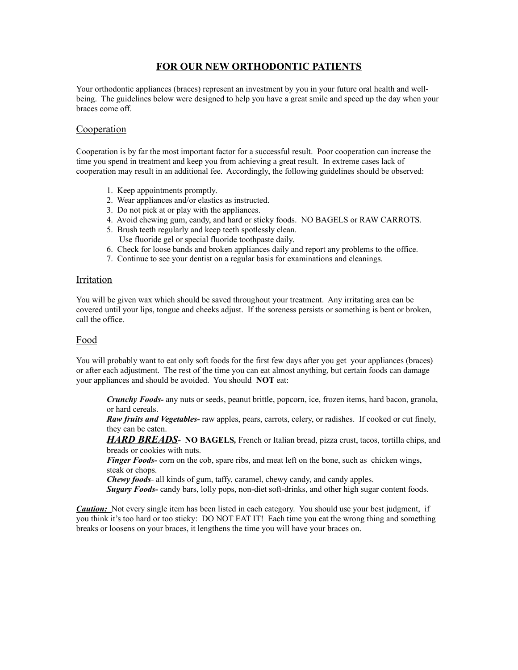# **FOR OUR NEW ORTHODONTIC PATIENTS**

Your orthodontic appliances (braces) represent an investment by you in your future oral health and wellbeing. The guidelines below were designed to help you have a great smile and speed up the day when your braces come off.

#### **Cooperation**

Cooperation is by far the most important factor for a successful result. Poor cooperation can increase the time you spend in treatment and keep you from achieving a great result. In extreme cases lack of cooperation may result in an additional fee. Accordingly, the following guidelines should be observed:

- 1. Keep appointments promptly.
- 2. Wear appliances and/or elastics as instructed.
- 3. Do not pick at or play with the appliances.
- 4. Avoid chewing gum, candy, and hard or sticky foods. NO BAGELS or RAW CARROTS.
	- 5. Brush teeth regularly and keep teeth spotlessly clean.
	- Use fluoride gel or special fluoride toothpaste daily.
	- 6. Check for loose bands and broken appliances daily and report any problems to the office.
- 7. Continue to see your dentist on a regular basis for examinations and cleanings.

#### Irritation

You will be given wax which should be saved throughout your treatment. Any irritating area can be covered until your lips, tongue and cheeks adjust. If the soreness persists or something is bent or broken, call the office.

#### Food

You will probably want to eat only soft foods for the first few days after you get your appliances (braces) or after each adjustment. The rest of the time you can eat almost anything, but certain foods can damage your appliances and should be avoided. You should **NOT** eat:

*Crunchy Foods-* any nuts or seeds, peanut brittle, popcorn, ice, frozen items, hard bacon, granola, or hard cereals.

*Raw fruits and Vegetables-* raw apples, pears, carrots, celery, or radishes. If cooked or cut finely, they can be eaten.

*HARD BREADS-* **NO BAGELS***,* French or Italian bread, pizza crust, tacos, tortilla chips, and breads or cookies with nuts.

*Finger Foods-* corn on the cob, spare ribs, and meat left on the bone, such as chicken wings, steak or chops.

*Chewy foods*- all kinds of gum, taffy, caramel, chewy candy, and candy apples.

*Sugary Foods-* candy bars, lolly pops, non-diet soft-drinks, and other high sugar content foods.

*Caution:* Not every single item has been listed in each category. You should use your best judgment, if you think it's too hard or too sticky: DO NOT EAT IT! Each time you eat the wrong thing and something breaks or loosens on your braces, it lengthens the time you will have your braces on.